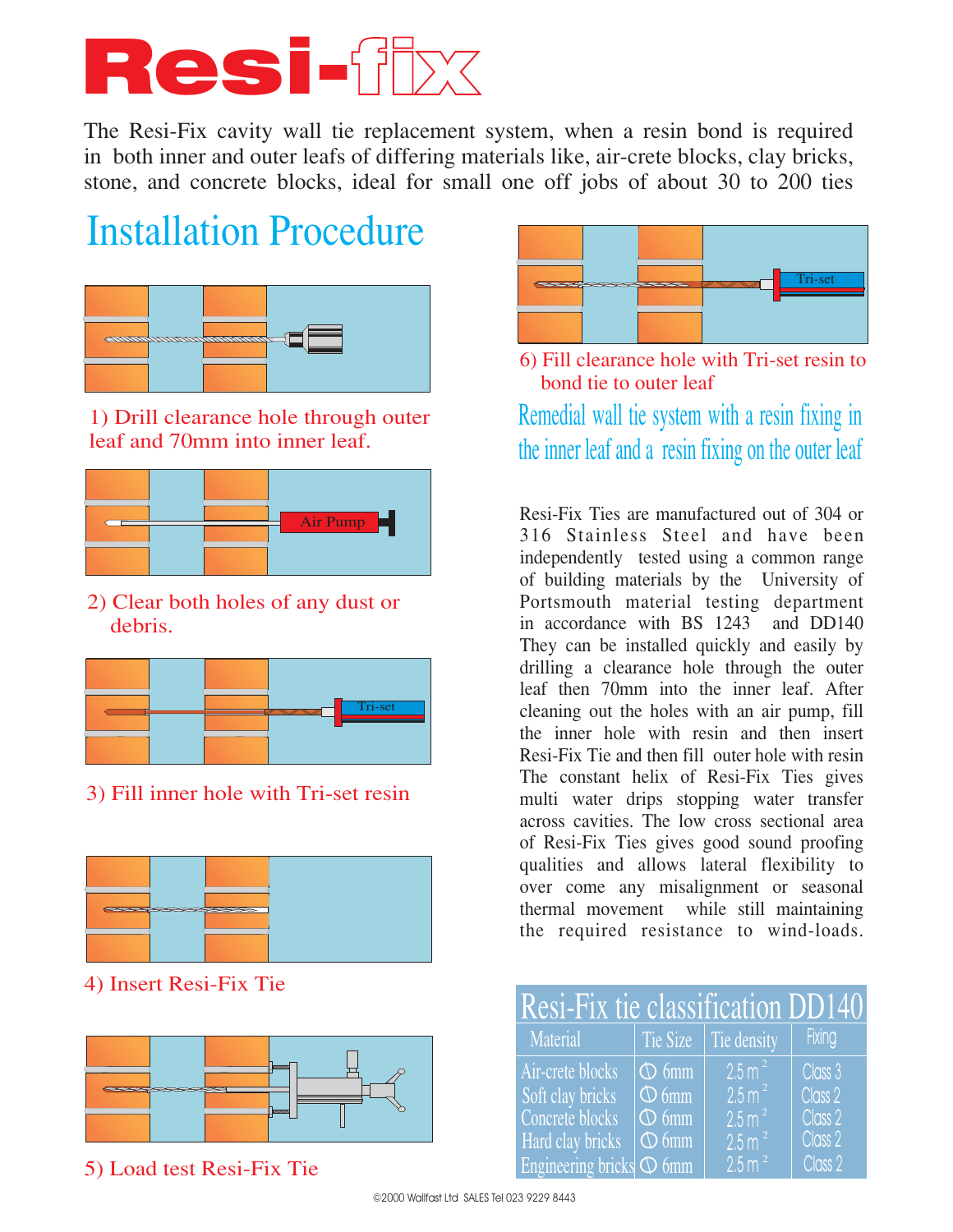# Resi-fix

The Resi-Fix cavity wall tie replacement system, when a resin bond is required in both inner and outer leafs of differing materials like, air-crete blocks, clay bricks, stone, and concrete blocks, ideal for small one off jobs of about 30 to 200 ties

### **Installation Procedure**



1) Drill clearance hole through outer leaf and 70mm into inner leaf.



2) Clear both holes of any dust or debris.



3) Fill inner hole with Tri-set resin



4) Insert Resi-Fix Tie



5) Load test Resi-Fix Tie



6) Fill clearance hole with Tri-set resin to bond tie to outer leaf

Remedial wall tie system with a resin fixing in the inner leaf and a resin fixing on the outer leaf

Resi-Fix Ties are manufactured out of 304 or 316 Stainless Steel and have been independently tested using a common range of building materials by the University of Portsmouth material testing department in accordance with BS 1243 and DD140 They can be installed quickly and easily by drilling a clearance hole through the outer leaf then 70mm into the inner leaf. After cleaning out the holes with an air pump, fill the inner hole with resin and then insert Resi-Fix Tie and then fill outer hole with resin The constant helix of Resi-Fix Ties gives multi water drips stopping water transfer across cavities. The low cross sectional area of Resi-Fix Ties gives good sound proofing qualities and allows lateral flexibility to over come any misalignment or seasonal thermal movement while still maintaining the required resistance to wind-loads.

| Resi-Fix tie classification DD140 |            |                              |                                    |  |  |  |  |  |  |  |
|-----------------------------------|------------|------------------------------|------------------------------------|--|--|--|--|--|--|--|
| Material                          |            | Tie Size $\vert$ Tie density | Fixing                             |  |  |  |  |  |  |  |
| Air-crete blocks                  | $\Phi$ 6mm | 2.5 m <sup>2</sup>           | Class 3                            |  |  |  |  |  |  |  |
| Soft clay bricks                  | $\Phi$ 6mm | 2.5 m <sup>2</sup>           | Class 2                            |  |  |  |  |  |  |  |
| Concrete blocks                   | $\Phi$ 6mm | $2.5$ m <sup>2</sup>         | Class 2                            |  |  |  |  |  |  |  |
| Hard clay bricks                  | $\Phi$ 6mm | 2.5 m <sup>2</sup>           | Class 2                            |  |  |  |  |  |  |  |
| Engineering bricks $\Phi$ 6mm     |            | $2.5 \text{ m}^2$            | $\overline{C}$ lass 2 <sup>1</sup> |  |  |  |  |  |  |  |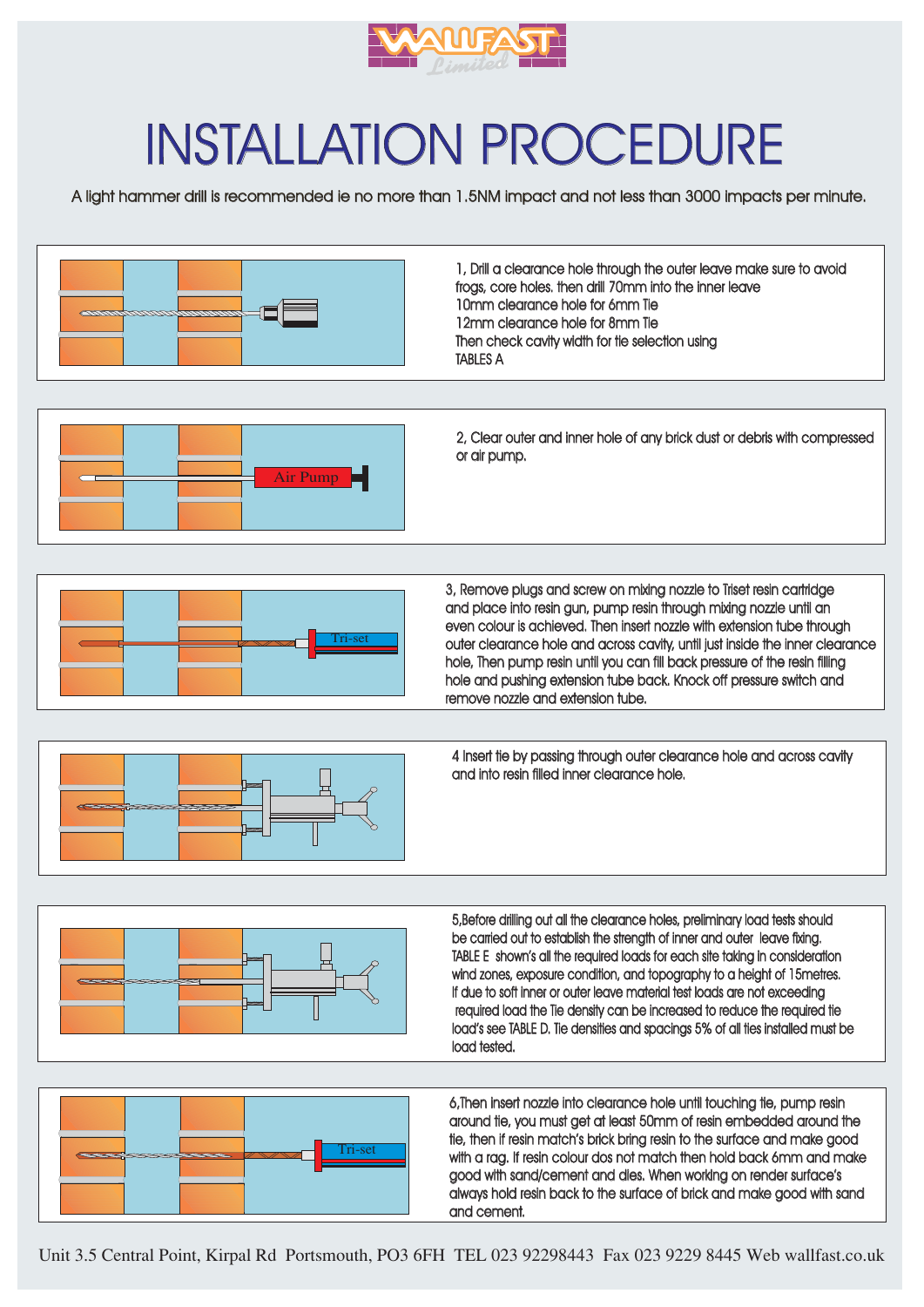

## **INSTALLATION PROCEDURE**

A light hammer drill is recommended ie no more than 1.5NM impact and not less than 3000 impacts per minute.



Unit 3.5 Central Point, Kirpal Rd Portsmouth, PO3 6FH TEL 023 92298443 Fax 023 9229 8445 Web wallfast.co.uk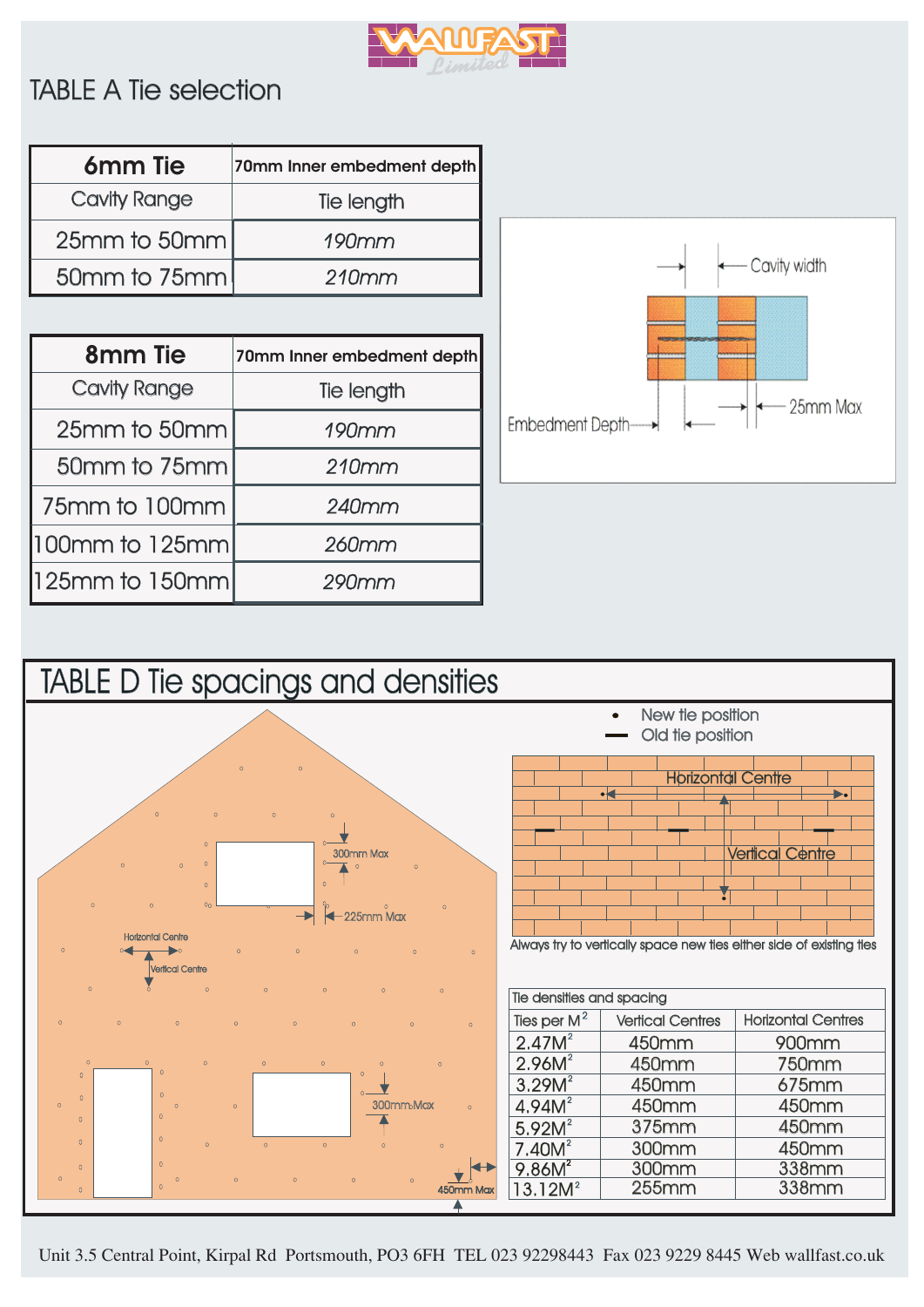

#### **TABLE A Tie selection**

| 6 <sub>mm</sub> Tie | 70mm Inner embedment depth |
|---------------------|----------------------------|
| <b>Cavity Range</b> | Tie length                 |
| $25$ mm to $50$ mm  | $190$ mm                   |
| 50mm to 75mm        | 210mm                      |

| 8 <sub>mm</sub> Tie  | 70mm Inner embedment depth |
|----------------------|----------------------------|
| <b>Cavity Range</b>  | Tie length                 |
| 25mm to 50mm         | $190$ mm                   |
| 50mm to 75mm         | 210mm                      |
| 75mm to 100mm        | 240mm                      |
| $100$ mm to $125$ mm | 260mm                      |
| $125mm$ to 150mm     | 290mm                      |





Unit 3.5 Central Point, Kirpal Rd Portsmouth, PO3 6FH TEL 023 92298443 Fax 023 9229 8445 Web wallfast.co.uk